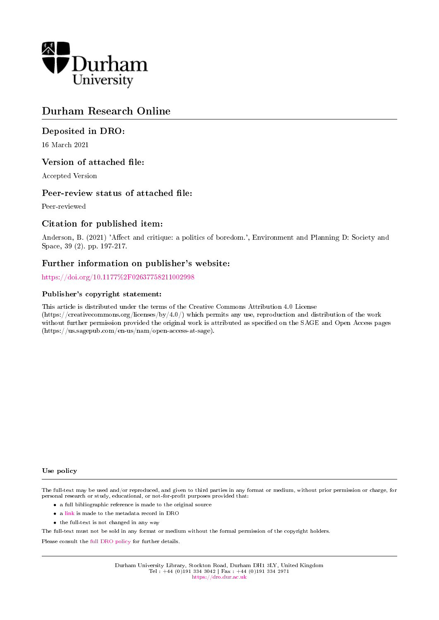

# Durham Research Online

## Deposited in DRO:

16 March 2021

### Version of attached file:

Accepted Version

### Peer-review status of attached file:

Peer-reviewed

### Citation for published item:

Anderson, B. (2021) 'Affect and critique: a politics of boredom.', Environment and Planning D: Society and Space, 39 (2). pp. 197-217.

## Further information on publisher's website:

<https://doi.org/10.1177%2F02637758211002998>

### Publisher's copyright statement:

This article is distributed under the terms of the Creative Commons Attribution 4.0 License (https://creativecommons.org/licenses/by/4.0/) which permits any use, reproduction and distribution of the work without further permission provided the original work is attributed as specified on the SAGE and Open Access pages (https://us.sagepub.com/en-us/nam/open-access-at-sage).

#### Use policy

The full-text may be used and/or reproduced, and given to third parties in any format or medium, without prior permission or charge, for personal research or study, educational, or not-for-profit purposes provided that:

- a full bibliographic reference is made to the original source
- a [link](http://dro.dur.ac.uk/32698/) is made to the metadata record in DRO
- the full-text is not changed in any way

The full-text must not be sold in any format or medium without the formal permission of the copyright holders.

Please consult the [full DRO policy](https://dro.dur.ac.uk/policies/usepolicy.pdf) for further details.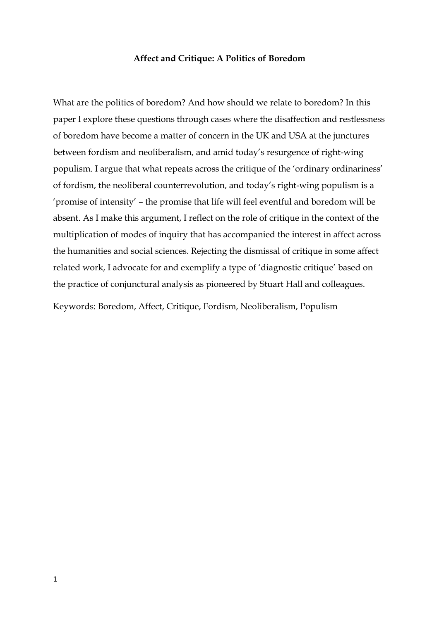### **Affect and Critique: A Politics of Boredom**

What are the politics of boredom? And how should we relate to boredom? In this paper I explore these questions through cases where the disaffection and restlessness of boredom have become a matter of concern in the UK and USA at the junctures between fordism and neoliberalism, and amid today's resurgence of right-wing populism. I argue that what repeats across the critique of the 'ordinary ordinariness' of fordism, the neoliberal counterrevolution, and today's right-wing populism is a 'promise of intensity' – the promise that life will feel eventful and boredom will be absent. As I make this argument, I reflect on the role of critique in the context of the multiplication of modes of inquiry that has accompanied the interest in affect across the humanities and social sciences. Rejecting the dismissal of critique in some affect related work, I advocate for and exemplify a type of 'diagnostic critique' based on the practice of conjunctural analysis as pioneered by Stuart Hall and colleagues.

Keywords: Boredom, Affect, Critique, Fordism, Neoliberalism, Populism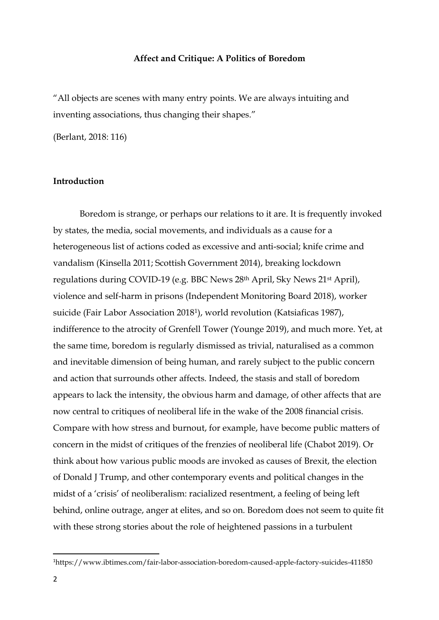### **Affect and Critique: A Politics of Boredom**

"All objects are scenes with many entry points. We are always intuiting and inventing associations, thus changing their shapes."

(Berlant, 2018: 116)

## **Introduction**

Boredom is strange, or perhaps our relations to it are. It is frequently invoked by states, the media, social movements, and individuals as a cause for a heterogeneous list of actions coded as excessive and anti-social; knife crime and vandalism (Kinsella 2011; Scottish Government 2014), breaking lockdown regulations during COVID-19 (e.g. BBC News 28th April, Sky News 21st April), violence and self-harm in prisons (Independent Monitoring Board 2018), worker suicide (Fair Labor Association 20181), world revolution (Katsiaficas 1987), indifference to the atrocity of Grenfell Tower (Younge 2019), and much more. Yet, at the same time, boredom is regularly dismissed as trivial, naturalised as a common and inevitable dimension of being human, and rarely subject to the public concern and action that surrounds other affects. Indeed, the stasis and stall of boredom appears to lack the intensity, the obvious harm and damage, of other affects that are now central to critiques of neoliberal life in the wake of the 2008 financial crisis. Compare with how stress and burnout, for example, have become public matters of concern in the midst of critiques of the frenzies of neoliberal life (Chabot 2019). Or think about how various public moods are invoked as causes of Brexit, the election of Donald J Trump, and other contemporary events and political changes in the midst of a 'crisis' of neoliberalism: racialized resentment, a feeling of being left behind, online outrage, anger at elites, and so on. Boredom does not seem to quite fit with these strong stories about the role of heightened passions in a turbulent

1

<sup>1</sup>https://www.ibtimes.com/fair-labor-association-boredom-caused-apple-factory-suicides-411850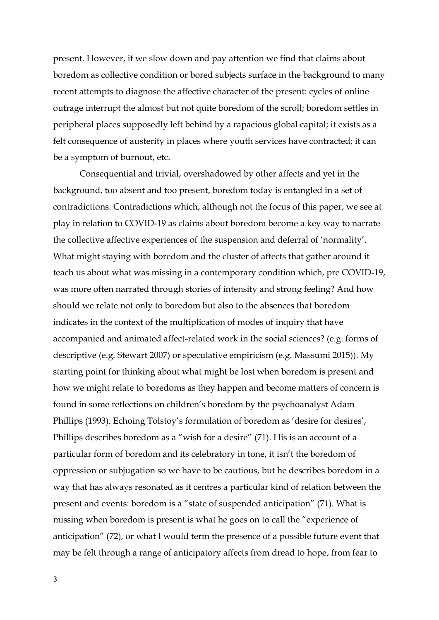present. However, if we slow down and pay attention we find that claims about boredom as collective condition or bored subjects surface in the background to many recent attempts to diagnose the affective character of the present: cycles of online outrage interrupt the almost but not quite boredom of the scroll; boredom settles in peripheral places supposedly left behind by a rapacious global capital; it exists as a felt consequence of austerity in places where youth services have contracted; it can be a symptom of burnout, etc.

Consequential and trivial, overshadowed by other affects and yet in the background, too absent and too present, boredom today is entangled in a set of contradictions. Contradictions which, although not the focus of this paper, we see at play in relation to COVID-19 as claims about boredom become a key way to narrate the collective affective experiences of the suspension and deferral of 'normality'. What might staying with boredom and the cluster of affects that gather around it teach us about what was missing in a contemporary condition which, pre COVID-19, was more often narrated through stories of intensity and strong feeling? And how should we relate not only to boredom but also to the absences that boredom indicates in the context of the multiplication of modes of inquiry that have accompanied and animated affect-related work in the social sciences? (e.g. forms of descriptive (e.g. Stewart 2007) or speculative empiricism (e.g. Massumi 2015)). My starting point for thinking about what might be lost when boredom is present and how we might relate to boredoms as they happen and become matters of concern is found in some reflections on children's boredom by the psychoanalyst Adam Phillips (1993). Echoing Tolstoy's formulation of boredom as 'desire for desires', Phillips describes boredom as a "wish for a desire" (71). His is an account of a particular form of boredom and its celebratory in tone, it isn't the boredom of oppression or subjugation so we have to be cautious, but he describes boredom in a way that has always resonated as it centres a particular kind of relation between the present and events: boredom is a "state of suspended anticipation" (71). What is missing when boredom is present is what he goes on to call the "experience of anticipation" (72), or what I would term the presence of a possible future event that may be felt through a range of anticipatory affects from dread to hope, from fear to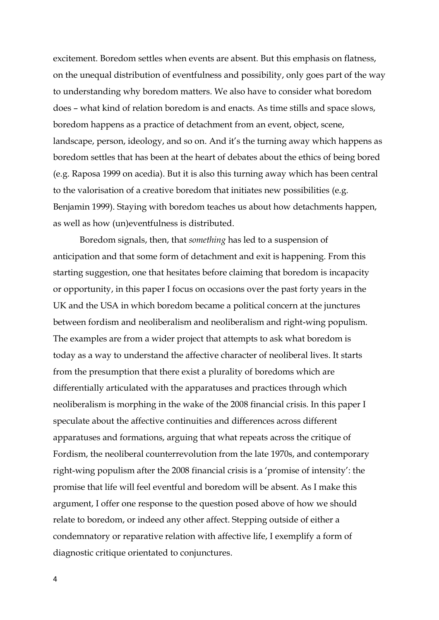excitement. Boredom settles when events are absent. But this emphasis on flatness, on the unequal distribution of eventfulness and possibility, only goes part of the way to understanding why boredom matters. We also have to consider what boredom does – what kind of relation boredom is and enacts. As time stills and space slows, boredom happens as a practice of detachment from an event, object, scene, landscape, person, ideology, and so on. And it's the turning away which happens as boredom settles that has been at the heart of debates about the ethics of being bored (e.g. Raposa 1999 on acedia). But it is also this turning away which has been central to the valorisation of a creative boredom that initiates new possibilities (e.g. Benjamin 1999). Staying with boredom teaches us about how detachments happen, as well as how (un)eventfulness is distributed.

Boredom signals, then, that *something* has led to a suspension of anticipation and that some form of detachment and exit is happening. From this starting suggestion, one that hesitates before claiming that boredom is incapacity or opportunity, in this paper I focus on occasions over the past forty years in the UK and the USA in which boredom became a political concern at the junctures between fordism and neoliberalism and neoliberalism and right-wing populism. The examples are from a wider project that attempts to ask what boredom is today as a way to understand the affective character of neoliberal lives. It starts from the presumption that there exist a plurality of boredoms which are differentially articulated with the apparatuses and practices through which neoliberalism is morphing in the wake of the 2008 financial crisis. In this paper I speculate about the affective continuities and differences across different apparatuses and formations, arguing that what repeats across the critique of Fordism, the neoliberal counterrevolution from the late 1970s, and contemporary right-wing populism after the 2008 financial crisis is a 'promise of intensity': the promise that life will feel eventful and boredom will be absent. As I make this argument, I offer one response to the question posed above of how we should relate to boredom, or indeed any other affect. Stepping outside of either a condemnatory or reparative relation with affective life, I exemplify a form of diagnostic critique orientated to conjunctures.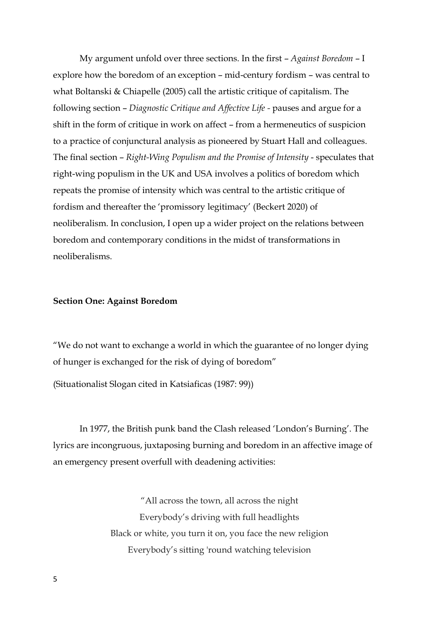My argument unfold over three sections. In the first – *Against Boredom* – I explore how the boredom of an exception – mid-century fordism – was central to what Boltanski & Chiapelle (2005) call the artistic critique of capitalism. The following section – *Diagnostic Critique and Affective Life -* pauses and argue for a shift in the form of critique in work on affect – from a hermeneutics of suspicion to a practice of conjunctural analysis as pioneered by Stuart Hall and colleagues. The final section – *Right-Wing Populism and the Promise of Intensity* - speculates that right-wing populism in the UK and USA involves a politics of boredom which repeats the promise of intensity which was central to the artistic critique of fordism and thereafter the 'promissory legitimacy' (Beckert 2020) of neoliberalism. In conclusion, I open up a wider project on the relations between boredom and contemporary conditions in the midst of transformations in neoliberalisms.

### **Section One: Against Boredom**

"We do not want to exchange a world in which the guarantee of no longer dying of hunger is exchanged for the risk of dying of boredom"

(Situationalist Slogan cited in Katsiaficas (1987: 99))

In 1977, the British punk band the Clash released 'London's Burning'. The lyrics are incongruous, juxtaposing burning and boredom in an affective image of an emergency present overfull with deadening activities:

> "All across the town, all across the night Everybody's driving with full headlights Black or white, you turn it on, you face the new religion Everybody's sitting 'round watching television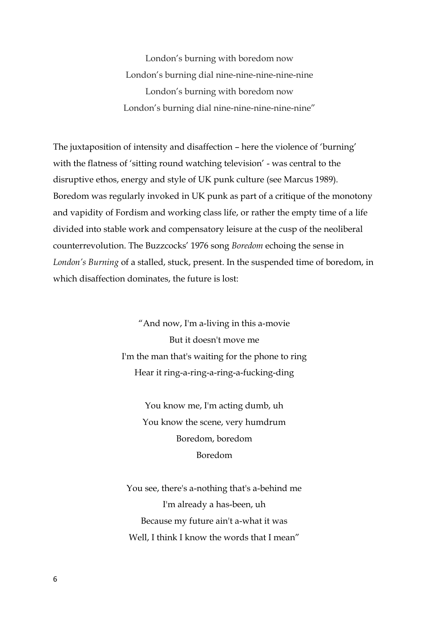London's burning with boredom now London's burning dial nine-nine-nine-nine-nine London's burning with boredom now London's burning dial nine-nine-nine-nine-nine"

The juxtaposition of intensity and disaffection – here the violence of 'burning' with the flatness of 'sitting round watching television' - was central to the disruptive ethos, energy and style of UK punk culture (see Marcus 1989). Boredom was regularly invoked in UK punk as part of a critique of the monotony and vapidity of Fordism and working class life, or rather the empty time of a life divided into stable work and compensatory leisure at the cusp of the neoliberal counterrevolution. The Buzzcocks' 1976 song *Boredom* echoing the sense in *London's Burning* of a stalled, stuck, present. In the suspended time of boredom, in which disaffection dominates, the future is lost:

> "And now, I'm a-living in this a-movie But it doesn't move me I'm the man that's waiting for the phone to ring Hear it ring-a-ring-a-ring-a-fucking-ding

> > You know me, I'm acting dumb, uh You know the scene, very humdrum Boredom, boredom Boredom

You see, there's a-nothing that's a-behind me I'm already a has-been, uh Because my future ain't a-what it was Well, I think I know the words that I mean"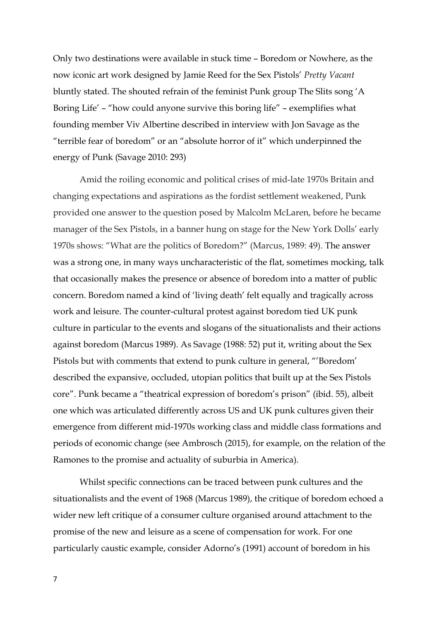Only two destinations were available in stuck time – Boredom or Nowhere, as the now iconic art work designed by Jamie Reed for the Sex Pistols' *Pretty Vacant* bluntly stated. The shouted refrain of the feminist Punk group The Slits song 'A Boring Life' – "how could anyone survive this boring life" – exemplifies what founding member Viv Albertine described in interview with Jon Savage as the "terrible fear of boredom" or an "absolute horror of it" which underpinned the energy of Punk (Savage 2010: 293)

Amid the roiling economic and political crises of mid-late 1970s Britain and changing expectations and aspirations as the fordist settlement weakened, Punk provided one answer to the question posed by Malcolm McLaren, before he became manager of the Sex Pistols, in a banner hung on stage for the New York Dolls' early 1970s shows: "What are the politics of Boredom?" (Marcus, 1989: 49). The answer was a strong one, in many ways uncharacteristic of the flat, sometimes mocking, talk that occasionally makes the presence or absence of boredom into a matter of public concern. Boredom named a kind of 'living death' felt equally and tragically across work and leisure. The counter-cultural protest against boredom tied UK punk culture in particular to the events and slogans of the situationalists and their actions against boredom (Marcus 1989). As Savage (1988: 52) put it, writing about the Sex Pistols but with comments that extend to punk culture in general, "'Boredom' described the expansive, occluded, utopian politics that built up at the Sex Pistols core". Punk became a "theatrical expression of boredom's prison" (ibid. 55), albeit one which was articulated differently across US and UK punk cultures given their emergence from different mid-1970s working class and middle class formations and periods of economic change (see Ambrosch (2015), for example, on the relation of the Ramones to the promise and actuality of suburbia in America).

Whilst specific connections can be traced between punk cultures and the situationalists and the event of 1968 (Marcus 1989), the critique of boredom echoed a wider new left critique of a consumer culture organised around attachment to the promise of the new and leisure as a scene of compensation for work. For one particularly caustic example, consider Adorno's (1991) account of boredom in his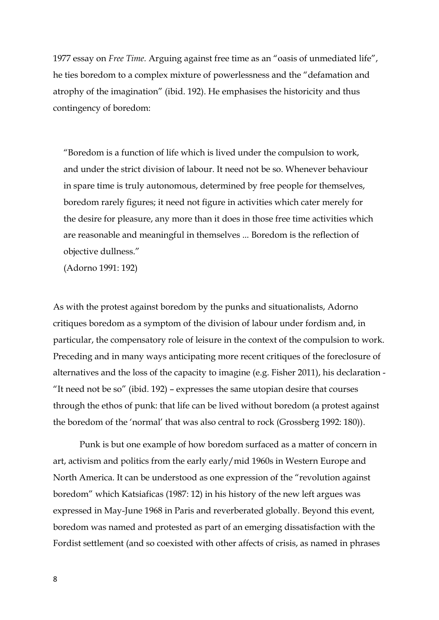1977 essay on *Free Time.* Arguing against free time as an "oasis of unmediated life", he ties boredom to a complex mixture of powerlessness and the "defamation and atrophy of the imagination" (ibid. 192). He emphasises the historicity and thus contingency of boredom:

"Boredom is a function of life which is lived under the compulsion to work, and under the strict division of labour. It need not be so. Whenever behaviour in spare time is truly autonomous, determined by free people for themselves, boredom rarely figures; it need not figure in activities which cater merely for the desire for pleasure, any more than it does in those free time activities which are reasonable and meaningful in themselves ... Boredom is the reflection of objective dullness."

(Adorno 1991: 192)

As with the protest against boredom by the punks and situationalists, Adorno critiques boredom as a symptom of the division of labour under fordism and, in particular, the compensatory role of leisure in the context of the compulsion to work. Preceding and in many ways anticipating more recent critiques of the foreclosure of alternatives and the loss of the capacity to imagine (e.g. Fisher 2011), his declaration - "It need not be so" (ibid. 192) – expresses the same utopian desire that courses through the ethos of punk: that life can be lived without boredom (a protest against the boredom of the 'normal' that was also central to rock (Grossberg 1992: 180)).

Punk is but one example of how boredom surfaced as a matter of concern in art, activism and politics from the early early/mid 1960s in Western Europe and North America. It can be understood as one expression of the "revolution against boredom" which Katsiaficas (1987: 12) in his history of the new left argues was expressed in May-June 1968 in Paris and reverberated globally. Beyond this event, boredom was named and protested as part of an emerging dissatisfaction with the Fordist settlement (and so coexisted with other affects of crisis, as named in phrases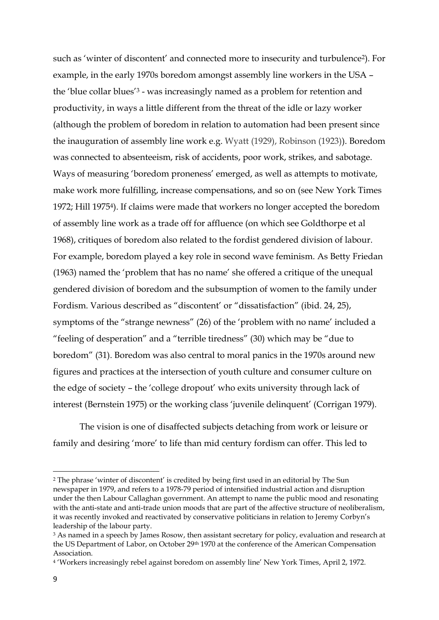such as 'winter of discontent' and connected more to insecurity and turbulence2). For example, in the early 1970s boredom amongst assembly line workers in the USA – the 'blue collar blues'<sup>3</sup> - was increasingly named as a problem for retention and productivity, in ways a little different from the threat of the idle or lazy worker (although the problem of boredom in relation to automation had been present since the inauguration of assembly line work e.g. Wyatt (1929), Robinson (1923)). Boredom was connected to absenteeism, risk of accidents, poor work, strikes, and sabotage. Ways of measuring 'boredom proneness' emerged, as well as attempts to motivate, make work more fulfilling, increase compensations, and so on (see New York Times 1972; Hill 19754). If claims were made that workers no longer accepted the boredom of assembly line work as a trade off for affluence (on which see Goldthorpe et al 1968), critiques of boredom also related to the fordist gendered division of labour. For example, boredom played a key role in second wave feminism. As Betty Friedan (1963) named the 'problem that has no name' she offered a critique of the unequal gendered division of boredom and the subsumption of women to the family under Fordism. Various described as "discontent' or "dissatisfaction" (ibid. 24, 25), symptoms of the "strange newness" (26) of the 'problem with no name' included a "feeling of desperation" and a "terrible tiredness" (30) which may be "due to boredom" (31). Boredom was also central to moral panics in the 1970s around new figures and practices at the intersection of youth culture and consumer culture on the edge of society – the 'college dropout' who exits university through lack of interest (Bernstein 1975) or the working class 'juvenile delinquent' (Corrigan 1979).

The vision is one of disaffected subjects detaching from work or leisure or family and desiring 'more' to life than mid century fordism can offer. This led to

**<sup>.</sup>** <sup>2</sup> The phrase 'winter of discontent' is credited by being first used in an editorial by The Sun newspaper in 1979, and refers to a 1978-79 period of intensified industrial action and disruption under the then Labour Callaghan government. An attempt to name the public mood and resonating with the anti-state and anti-trade union moods that are part of the affective structure of neoliberalism, it was recently invoked and reactivated by conservative politicians in relation to Jeremy Corbyn's leadership of the labour party.

<sup>&</sup>lt;sup>3</sup> As named in a speech by James Rosow, then assistant secretary for policy, evaluation and research at the US Department of Labor, on October 29<sup>th</sup> 1970 at the conference of the American Compensation Association.

<sup>4</sup> 'Workers increasingly rebel against boredom on assembly line' New York Times, April 2, 1972.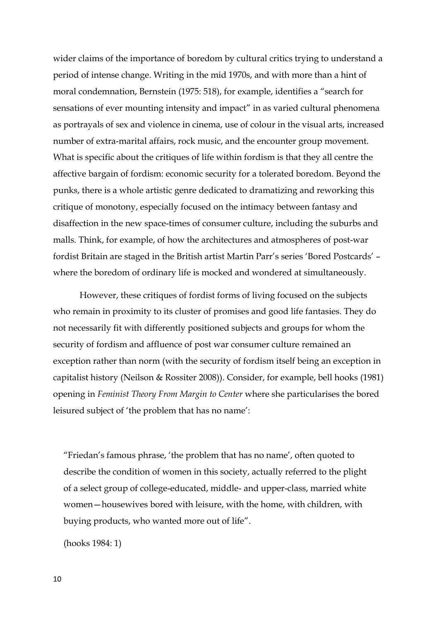wider claims of the importance of boredom by cultural critics trying to understand a period of intense change. Writing in the mid 1970s, and with more than a hint of moral condemnation, Bernstein (1975: 518), for example, identifies a "search for sensations of ever mounting intensity and impact" in as varied cultural phenomena as portrayals of sex and violence in cinema, use of colour in the visual arts, increased number of extra-marital affairs, rock music, and the encounter group movement. What is specific about the critiques of life within fordism is that they all centre the affective bargain of fordism: economic security for a tolerated boredom. Beyond the punks, there is a whole artistic genre dedicated to dramatizing and reworking this critique of monotony, especially focused on the intimacy between fantasy and disaffection in the new space-times of consumer culture, including the suburbs and malls. Think, for example, of how the architectures and atmospheres of post-war fordist Britain are staged in the British artist Martin Parr's series 'Bored Postcards' – where the boredom of ordinary life is mocked and wondered at simultaneously.

However, these critiques of fordist forms of living focused on the subjects who remain in proximity to its cluster of promises and good life fantasies. They do not necessarily fit with differently positioned subjects and groups for whom the security of fordism and affluence of post war consumer culture remained an exception rather than norm (with the security of fordism itself being an exception in capitalist history (Neilson & Rossiter 2008)). Consider, for example, bell hooks (1981) opening in *Feminist Theory From Margin to Center* where she particularises the bored leisured subject of 'the problem that has no name':

"Friedan's famous phrase, 'the problem that has no name', often quoted to describe the condition of women in this society, actually referred to the plight of a select group of college-educated, middle- and upper-class, married white women—housewives bored with leisure, with the home, with children, with buying products, who wanted more out of life".

(hooks 1984: 1)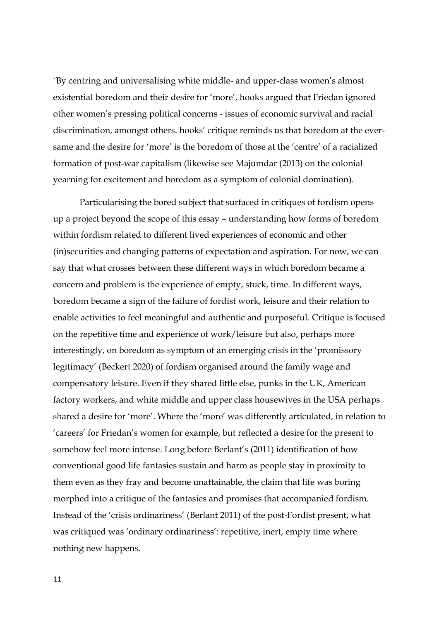`By centring and universalising white middle- and upper-class women's almost existential boredom and their desire for 'more', hooks argued that Friedan ignored other women's pressing political concerns - issues of economic survival and racial discrimination, amongst others. hooks' critique reminds us that boredom at the eversame and the desire for 'more' is the boredom of those at the 'centre' of a racialized formation of post-war capitalism (likewise see Majumdar (2013) on the colonial yearning for excitement and boredom as a symptom of colonial domination).

Particularising the bored subject that surfaced in critiques of fordism opens up a project beyond the scope of this essay – understanding how forms of boredom within fordism related to different lived experiences of economic and other (in)securities and changing patterns of expectation and aspiration. For now, we can say that what crosses between these different ways in which boredom became a concern and problem is the experience of empty, stuck, time. In different ways, boredom became a sign of the failure of fordist work, leisure and their relation to enable activities to feel meaningful and authentic and purposeful. Critique is focused on the repetitive time and experience of work/leisure but also, perhaps more interestingly, on boredom as symptom of an emerging crisis in the 'promissory legitimacy' (Beckert 2020) of fordism organised around the family wage and compensatory leisure. Even if they shared little else, punks in the UK, American factory workers, and white middle and upper class housewives in the USA perhaps shared a desire for 'more'. Where the 'more' was differently articulated, in relation to 'careers' for Friedan's women for example, but reflected a desire for the present to somehow feel more intense. Long before Berlant's (2011) identification of how conventional good life fantasies sustain and harm as people stay in proximity to them even as they fray and become unattainable, the claim that life was boring morphed into a critique of the fantasies and promises that accompanied fordism. Instead of the 'crisis ordinariness' (Berlant 2011) of the post-Fordist present, what was critiqued was 'ordinary ordinariness': repetitive, inert, empty time where nothing new happens.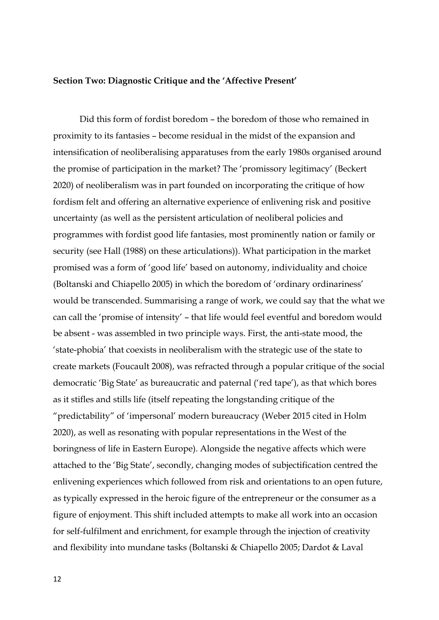#### **Section Two: Diagnostic Critique and the 'Affective Present'**

Did this form of fordist boredom – the boredom of those who remained in proximity to its fantasies – become residual in the midst of the expansion and intensification of neoliberalising apparatuses from the early 1980s organised around the promise of participation in the market? The 'promissory legitimacy' (Beckert 2020) of neoliberalism was in part founded on incorporating the critique of how fordism felt and offering an alternative experience of enlivening risk and positive uncertainty (as well as the persistent articulation of neoliberal policies and programmes with fordist good life fantasies, most prominently nation or family or security (see Hall (1988) on these articulations)). What participation in the market promised was a form of 'good life' based on autonomy, individuality and choice (Boltanski and Chiapello 2005) in which the boredom of 'ordinary ordinariness' would be transcended. Summarising a range of work, we could say that the what we can call the 'promise of intensity' – that life would feel eventful and boredom would be absent - was assembled in two principle ways. First, the anti-state mood, the 'state-phobia' that coexists in neoliberalism with the strategic use of the state to create markets (Foucault 2008), was refracted through a popular critique of the social democratic 'Big State' as bureaucratic and paternal ('red tape'), as that which bores as it stifles and stills life (itself repeating the longstanding critique of the "predictability" of 'impersonal' modern bureaucracy (Weber 2015 cited in Holm 2020), as well as resonating with popular representations in the West of the boringness of life in Eastern Europe). Alongside the negative affects which were attached to the 'Big State', secondly, changing modes of subjectification centred the enlivening experiences which followed from risk and orientations to an open future, as typically expressed in the heroic figure of the entrepreneur or the consumer as a figure of enjoyment. This shift included attempts to make all work into an occasion for self-fulfilment and enrichment, for example through the injection of creativity and flexibility into mundane tasks (Boltanski & Chiapello 2005; Dardot & Laval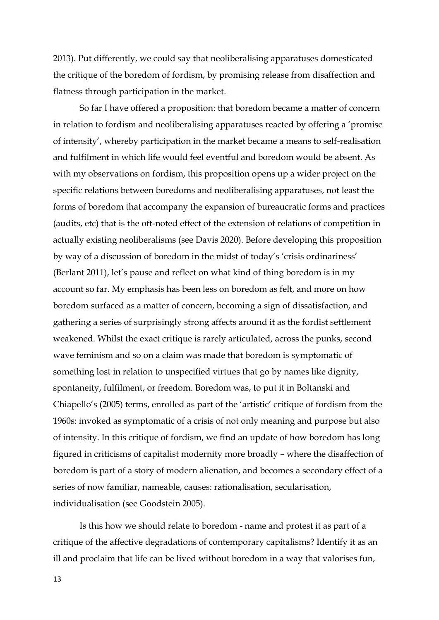2013). Put differently, we could say that neoliberalising apparatuses domesticated the critique of the boredom of fordism, by promising release from disaffection and flatness through participation in the market.

So far I have offered a proposition: that boredom became a matter of concern in relation to fordism and neoliberalising apparatuses reacted by offering a 'promise of intensity', whereby participation in the market became a means to self-realisation and fulfilment in which life would feel eventful and boredom would be absent. As with my observations on fordism, this proposition opens up a wider project on the specific relations between boredoms and neoliberalising apparatuses, not least the forms of boredom that accompany the expansion of bureaucratic forms and practices (audits, etc) that is the oft-noted effect of the extension of relations of competition in actually existing neoliberalisms (see Davis 2020). Before developing this proposition by way of a discussion of boredom in the midst of today's 'crisis ordinariness' (Berlant 2011), let's pause and reflect on what kind of thing boredom is in my account so far. My emphasis has been less on boredom as felt, and more on how boredom surfaced as a matter of concern, becoming a sign of dissatisfaction, and gathering a series of surprisingly strong affects around it as the fordist settlement weakened. Whilst the exact critique is rarely articulated, across the punks, second wave feminism and so on a claim was made that boredom is symptomatic of something lost in relation to unspecified virtues that go by names like dignity, spontaneity, fulfilment, or freedom. Boredom was, to put it in Boltanski and Chiapello's (2005) terms, enrolled as part of the 'artistic' critique of fordism from the 1960s: invoked as symptomatic of a crisis of not only meaning and purpose but also of intensity. In this critique of fordism, we find an update of how boredom has long figured in criticisms of capitalist modernity more broadly – where the disaffection of boredom is part of a story of modern alienation, and becomes a secondary effect of a series of now familiar, nameable, causes: rationalisation, secularisation, individualisation (see Goodstein 2005).

Is this how we should relate to boredom - name and protest it as part of a critique of the affective degradations of contemporary capitalisms? Identify it as an ill and proclaim that life can be lived without boredom in a way that valorises fun,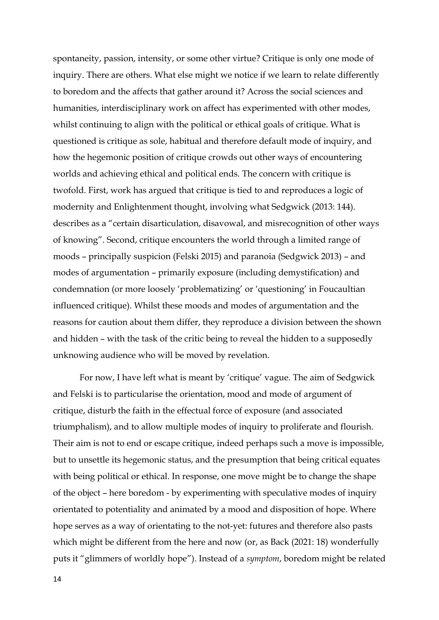spontaneity, passion, intensity, or some other virtue? Critique is only one mode of inquiry. There are others. What else might we notice if we learn to relate differently to boredom and the affects that gather around it? Across the social sciences and humanities, interdisciplinary work on affect has experimented with other modes, whilst continuing to align with the political or ethical goals of critique. What is questioned is critique as sole, habitual and therefore default mode of inquiry, and how the hegemonic position of critique crowds out other ways of encountering worlds and achieving ethical and political ends. The concern with critique is twofold. First, work has argued that critique is tied to and reproduces a logic of modernity and Enlightenment thought, involving what Sedgwick (2013: 144). describes as a "certain disarticulation, disavowal, and misrecognition of other ways of knowing". Second, critique encounters the world through a limited range of moods – principally suspicion (Felski 2015) and paranoia (Sedgwick 2013) – and modes of argumentation – primarily exposure (including demystification) and condemnation (or more loosely 'problematizing' or 'questioning' in Foucaultian influenced critique). Whilst these moods and modes of argumentation and the reasons for caution about them differ, they reproduce a division between the shown and hidden – with the task of the critic being to reveal the hidden to a supposedly unknowing audience who will be moved by revelation.

For now, I have left what is meant by 'critique' vague. The aim of Sedgwick and Felski is to particularise the orientation, mood and mode of argument of critique, disturb the faith in the effectual force of exposure (and associated triumphalism), and to allow multiple modes of inquiry to proliferate and flourish. Their aim is not to end or escape critique, indeed perhaps such a move is impossible, but to unsettle its hegemonic status, and the presumption that being critical equates with being political or ethical. In response, one move might be to change the shape of the object – here boredom - by experimenting with speculative modes of inquiry orientated to potentiality and animated by a mood and disposition of hope. Where hope serves as a way of orientating to the not-yet: futures and therefore also pasts which might be different from the here and now (or, as Back (2021: 18) wonderfully puts it "glimmers of worldly hope"). Instead of a *symptom*, boredom might be related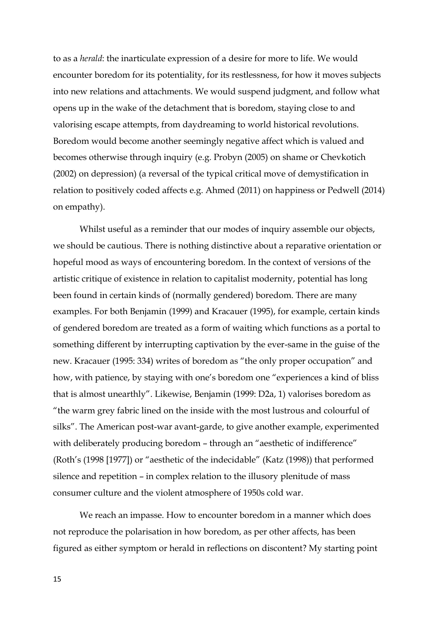to as a *herald*: the inarticulate expression of a desire for more to life. We would encounter boredom for its potentiality, for its restlessness, for how it moves subjects into new relations and attachments. We would suspend judgment, and follow what opens up in the wake of the detachment that is boredom, staying close to and valorising escape attempts, from daydreaming to world historical revolutions. Boredom would become another seemingly negative affect which is valued and becomes otherwise through inquiry (e.g. Probyn (2005) on shame or Chevkotich (2002) on depression) (a reversal of the typical critical move of demystification in relation to positively coded affects e.g. Ahmed (2011) on happiness or Pedwell (2014) on empathy).

Whilst useful as a reminder that our modes of inquiry assemble our objects, we should be cautious. There is nothing distinctive about a reparative orientation or hopeful mood as ways of encountering boredom. In the context of versions of the artistic critique of existence in relation to capitalist modernity, potential has long been found in certain kinds of (normally gendered) boredom. There are many examples. For both Benjamin (1999) and Kracauer (1995), for example, certain kinds of gendered boredom are treated as a form of waiting which functions as a portal to something different by interrupting captivation by the ever-same in the guise of the new. Kracauer (1995: 334) writes of boredom as "the only proper occupation" and how, with patience, by staying with one's boredom one "experiences a kind of bliss that is almost unearthly". Likewise, Benjamin (1999: D2a, 1) valorises boredom as "the warm grey fabric lined on the inside with the most lustrous and colourful of silks". The American post-war avant-garde, to give another example, experimented with deliberately producing boredom – through an "aesthetic of indifference" (Roth's (1998 [1977]) or "aesthetic of the indecidable" (Katz (1998)) that performed silence and repetition – in complex relation to the illusory plenitude of mass consumer culture and the violent atmosphere of 1950s cold war.

We reach an impasse. How to encounter boredom in a manner which does not reproduce the polarisation in how boredom, as per other affects, has been figured as either symptom or herald in reflections on discontent? My starting point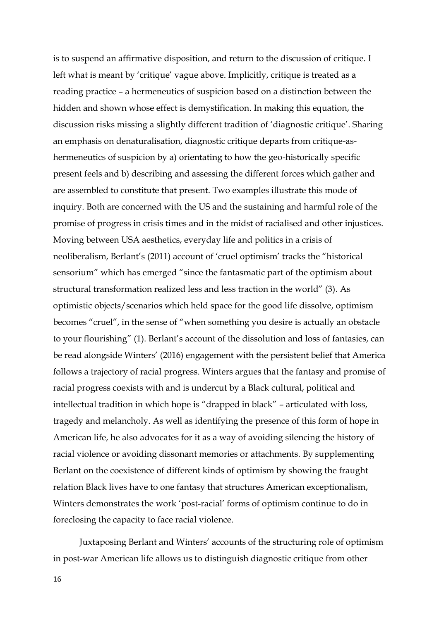is to suspend an affirmative disposition, and return to the discussion of critique. I left what is meant by 'critique' vague above. Implicitly, critique is treated as a reading practice – a hermeneutics of suspicion based on a distinction between the hidden and shown whose effect is demystification. In making this equation, the discussion risks missing a slightly different tradition of 'diagnostic critique'. Sharing an emphasis on denaturalisation, diagnostic critique departs from critique-ashermeneutics of suspicion by a) orientating to how the geo-historically specific present feels and b) describing and assessing the different forces which gather and are assembled to constitute that present. Two examples illustrate this mode of inquiry. Both are concerned with the US and the sustaining and harmful role of the promise of progress in crisis times and in the midst of racialised and other injustices. Moving between USA aesthetics, everyday life and politics in a crisis of neoliberalism, Berlant's (2011) account of 'cruel optimism' tracks the "historical sensorium" which has emerged "since the fantasmatic part of the optimism about structural transformation realized less and less traction in the world" (3). As optimistic objects/scenarios which held space for the good life dissolve, optimism becomes "cruel", in the sense of "when something you desire is actually an obstacle to your flourishing" (1). Berlant's account of the dissolution and loss of fantasies, can be read alongside Winters' (2016) engagement with the persistent belief that America follows a trajectory of racial progress. Winters argues that the fantasy and promise of racial progress coexists with and is undercut by a Black cultural, political and intellectual tradition in which hope is "drapped in black" – articulated with loss, tragedy and melancholy. As well as identifying the presence of this form of hope in American life, he also advocates for it as a way of avoiding silencing the history of racial violence or avoiding dissonant memories or attachments. By supplementing Berlant on the coexistence of different kinds of optimism by showing the fraught relation Black lives have to one fantasy that structures American exceptionalism, Winters demonstrates the work 'post-racial' forms of optimism continue to do in foreclosing the capacity to face racial violence.

Juxtaposing Berlant and Winters' accounts of the structuring role of optimism in post-war American life allows us to distinguish diagnostic critique from other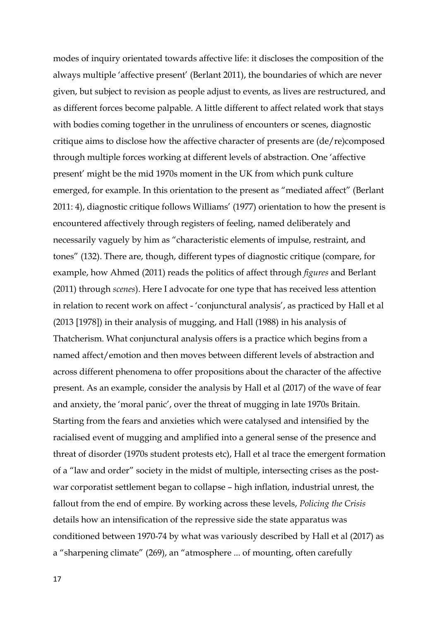modes of inquiry orientated towards affective life: it discloses the composition of the always multiple 'affective present' (Berlant 2011), the boundaries of which are never given, but subject to revision as people adjust to events, as lives are restructured, and as different forces become palpable. A little different to affect related work that stays with bodies coming together in the unruliness of encounters or scenes, diagnostic critique aims to disclose how the affective character of presents are (de/re)composed through multiple forces working at different levels of abstraction. One 'affective present' might be the mid 1970s moment in the UK from which punk culture emerged, for example. In this orientation to the present as "mediated affect" (Berlant 2011: 4), diagnostic critique follows Williams' (1977) orientation to how the present is encountered affectively through registers of feeling, named deliberately and necessarily vaguely by him as "characteristic elements of impulse, restraint, and tones" (132). There are, though, different types of diagnostic critique (compare, for example, how Ahmed (2011) reads the politics of affect through *figures* and Berlant (2011) through *scenes*). Here I advocate for one type that has received less attention in relation to recent work on affect - 'conjunctural analysis', as practiced by Hall et al (2013 [1978]) in their analysis of mugging, and Hall (1988) in his analysis of Thatcherism. What conjunctural analysis offers is a practice which begins from a named affect/emotion and then moves between different levels of abstraction and across different phenomena to offer propositions about the character of the affective present. As an example, consider the analysis by Hall et al (2017) of the wave of fear and anxiety, the 'moral panic', over the threat of mugging in late 1970s Britain. Starting from the fears and anxieties which were catalysed and intensified by the racialised event of mugging and amplified into a general sense of the presence and threat of disorder (1970s student protests etc), Hall et al trace the emergent formation of a "law and order" society in the midst of multiple, intersecting crises as the postwar corporatist settlement began to collapse – high inflation, industrial unrest, the fallout from the end of empire. By working across these levels, *Policing the Crisis* details how an intensification of the repressive side the state apparatus was conditioned between 1970-74 by what was variously described by Hall et al (2017) as a "sharpening climate" (269), an "atmosphere ... of mounting, often carefully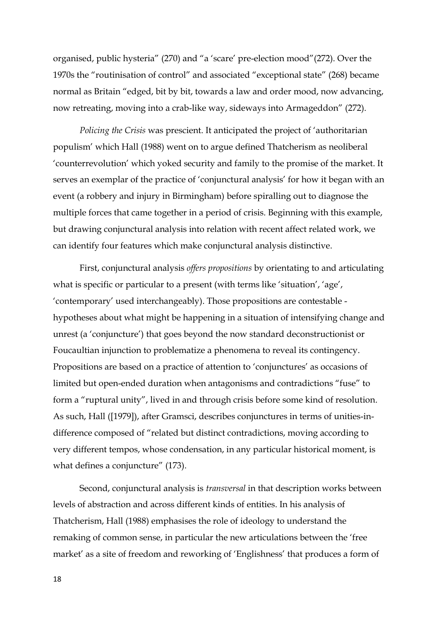organised, public hysteria" (270) and "a 'scare' pre-election mood"(272). Over the 1970s the "routinisation of control" and associated "exceptional state" (268) became normal as Britain "edged, bit by bit, towards a law and order mood, now advancing, now retreating, moving into a crab-like way, sideways into Armageddon" (272).

*Policing the Crisis* was prescient. It anticipated the project of 'authoritarian populism' which Hall (1988) went on to argue defined Thatcherism as neoliberal 'counterrevolution' which yoked security and family to the promise of the market. It serves an exemplar of the practice of 'conjunctural analysis' for how it began with an event (a robbery and injury in Birmingham) before spiralling out to diagnose the multiple forces that came together in a period of crisis. Beginning with this example, but drawing conjunctural analysis into relation with recent affect related work, we can identify four features which make conjunctural analysis distinctive.

First, conjunctural analysis *offers propositions* by orientating to and articulating what is specific or particular to a present (with terms like 'situation', 'age', 'contemporary' used interchangeably). Those propositions are contestable hypotheses about what might be happening in a situation of intensifying change and unrest (a 'conjuncture') that goes beyond the now standard deconstructionist or Foucaultian injunction to problematize a phenomena to reveal its contingency. Propositions are based on a practice of attention to 'conjunctures' as occasions of limited but open-ended duration when antagonisms and contradictions "fuse" to form a "ruptural unity", lived in and through crisis before some kind of resolution. As such, Hall ([1979]), after Gramsci, describes conjunctures in terms of unities-indifference composed of "related but distinct contradictions, moving according to very different tempos, whose condensation, in any particular historical moment, is what defines a conjuncture" (173).

Second, conjunctural analysis is *transversal* in that description works between levels of abstraction and across different kinds of entities. In his analysis of Thatcherism, Hall (1988) emphasises the role of ideology to understand the remaking of common sense, in particular the new articulations between the 'free market' as a site of freedom and reworking of 'Englishness' that produces a form of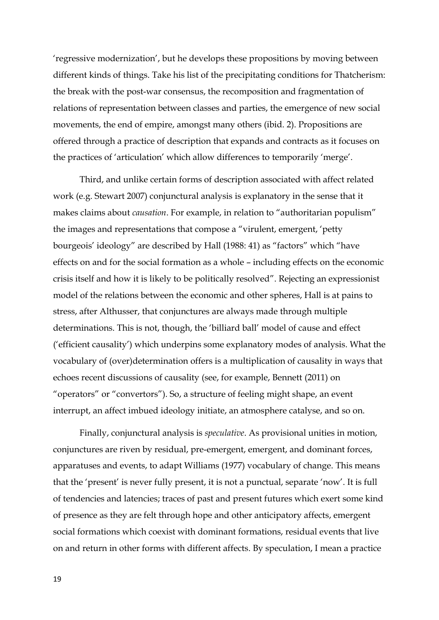'regressive modernization', but he develops these propositions by moving between different kinds of things. Take his list of the precipitating conditions for Thatcherism: the break with the post-war consensus, the recomposition and fragmentation of relations of representation between classes and parties, the emergence of new social movements, the end of empire, amongst many others (ibid. 2). Propositions are offered through a practice of description that expands and contracts as it focuses on the practices of 'articulation' which allow differences to temporarily 'merge'.

Third, and unlike certain forms of description associated with affect related work (e.g. Stewart 2007) conjunctural analysis is explanatory in the sense that it makes claims about *causation*. For example, in relation to "authoritarian populism" the images and representations that compose a "virulent, emergent, 'petty bourgeois' ideology" are described by Hall (1988: 41) as "factors" which "have effects on and for the social formation as a whole – including effects on the economic crisis itself and how it is likely to be politically resolved". Rejecting an expressionist model of the relations between the economic and other spheres, Hall is at pains to stress, after Althusser, that conjunctures are always made through multiple determinations. This is not, though, the 'billiard ball' model of cause and effect ('efficient causality') which underpins some explanatory modes of analysis. What the vocabulary of (over)determination offers is a multiplication of causality in ways that echoes recent discussions of causality (see, for example, Bennett (2011) on "operators" or "convertors"). So, a structure of feeling might shape, an event interrupt, an affect imbued ideology initiate, an atmosphere catalyse, and so on.

Finally, conjunctural analysis is *speculative*. As provisional unities in motion, conjunctures are riven by residual, pre-emergent, emergent, and dominant forces, apparatuses and events, to adapt Williams (1977) vocabulary of change. This means that the 'present' is never fully present, it is not a punctual, separate 'now'. It is full of tendencies and latencies; traces of past and present futures which exert some kind of presence as they are felt through hope and other anticipatory affects, emergent social formations which coexist with dominant formations, residual events that live on and return in other forms with different affects. By speculation, I mean a practice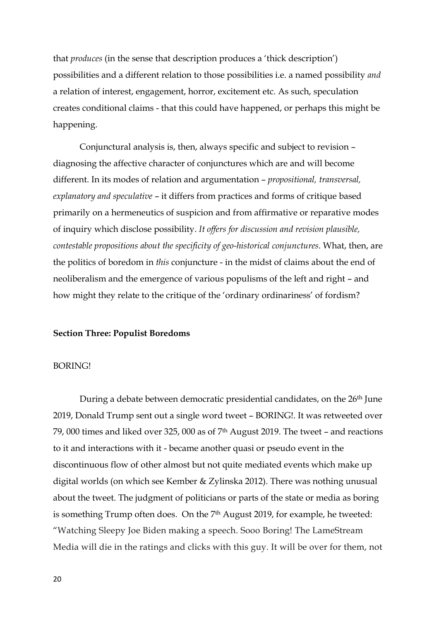that *produces* (in the sense that description produces a 'thick description') possibilities and a different relation to those possibilities i.e. a named possibility *and*  a relation of interest, engagement, horror, excitement etc. As such, speculation creates conditional claims - that this could have happened, or perhaps this might be happening.

Conjunctural analysis is, then, always specific and subject to revision – diagnosing the affective character of conjunctures which are and will become different. In its modes of relation and argumentation – *propositional, transversal, explanatory and speculative* – it differs from practices and forms of critique based primarily on a hermeneutics of suspicion and from affirmative or reparative modes of inquiry which disclose possibility. *It offers for discussion and revision plausible, contestable propositions about the specificity of geo-historical conjunctures.* What, then, are the politics of boredom in *this* conjuncture - in the midst of claims about the end of neoliberalism and the emergence of various populisms of the left and right – and how might they relate to the critique of the 'ordinary ordinariness' of fordism?

### **Section Three: Populist Boredoms**

### BORING!

During a debate between democratic presidential candidates, on the 26th June 2019, Donald Trump sent out a single word tweet – BORING!. It was retweeted over 79, 000 times and liked over 325, 000 as of 7th August 2019. The tweet – and reactions to it and interactions with it - became another quasi or pseudo event in the discontinuous flow of other almost but not quite mediated events which make up digital worlds (on which see Kember & Zylinska 2012). There was nothing unusual about the tweet. The judgment of politicians or parts of the state or media as boring is something Trump often does. On the 7<sup>th</sup> August 2019, for example, he tweeted: "Watching Sleepy Joe Biden making a speech. Sooo Boring! The LameStream Media will die in the ratings and clicks with this guy. It will be over for them, not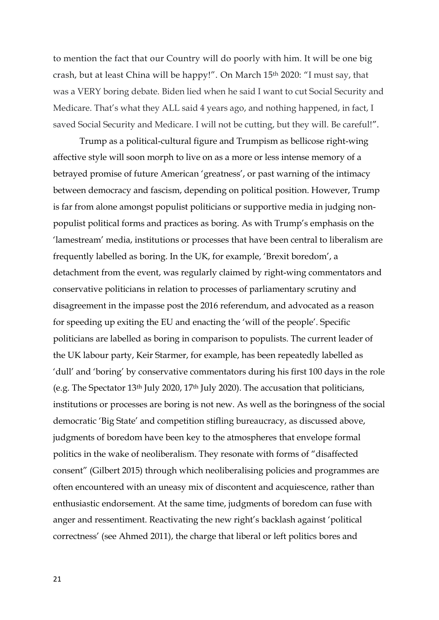to mention the fact that our Country will do poorly with him. It will be one big crash, but at least China will be happy!". On March 15th 2020: "I must say, that was a VERY boring debate. Biden lied when he said I want to cut Social Security and Medicare. That's what they ALL said 4 years ago, and nothing happened, in fact, I saved Social Security and Medicare. I will not be cutting, but they will. Be careful!".

Trump as a political-cultural figure and Trumpism as bellicose right-wing affective style will soon morph to live on as a more or less intense memory of a betrayed promise of future American 'greatness', or past warning of the intimacy between democracy and fascism, depending on political position. However, Trump is far from alone amongst populist politicians or supportive media in judging nonpopulist political forms and practices as boring. As with Trump's emphasis on the 'lamestream' media, institutions or processes that have been central to liberalism are frequently labelled as boring. In the UK, for example, 'Brexit boredom', a detachment from the event, was regularly claimed by right-wing commentators and conservative politicians in relation to processes of parliamentary scrutiny and disagreement in the impasse post the 2016 referendum, and advocated as a reason for speeding up exiting the EU and enacting the 'will of the people'. Specific politicians are labelled as boring in comparison to populists. The current leader of the UK labour party, Keir Starmer, for example, has been repeatedly labelled as 'dull' and 'boring' by conservative commentators during his first 100 days in the role (e.g. The Spectator 13th July 2020, 17th July 2020). The accusation that politicians, institutions or processes are boring is not new. As well as the boringness of the social democratic 'Big State' and competition stifling bureaucracy, as discussed above, judgments of boredom have been key to the atmospheres that envelope formal politics in the wake of neoliberalism. They resonate with forms of "disaffected consent" (Gilbert 2015) through which neoliberalising policies and programmes are often encountered with an uneasy mix of discontent and acquiescence, rather than enthusiastic endorsement. At the same time, judgments of boredom can fuse with anger and ressentiment. Reactivating the new right's backlash against 'political correctness' (see Ahmed 2011), the charge that liberal or left politics bores and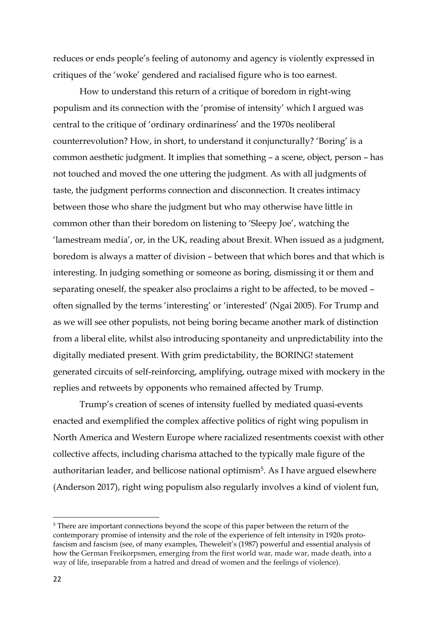reduces or ends people's feeling of autonomy and agency is violently expressed in critiques of the 'woke' gendered and racialised figure who is too earnest.

How to understand this return of a critique of boredom in right-wing populism and its connection with the 'promise of intensity' which I argued was central to the critique of 'ordinary ordinariness' and the 1970s neoliberal counterrevolution? How, in short, to understand it conjuncturally? 'Boring' is a common aesthetic judgment. It implies that something – a scene, object, person – has not touched and moved the one uttering the judgment. As with all judgments of taste, the judgment performs connection and disconnection. It creates intimacy between those who share the judgment but who may otherwise have little in common other than their boredom on listening to 'Sleepy Joe', watching the 'lamestream media', or, in the UK, reading about Brexit. When issued as a judgment, boredom is always a matter of division – between that which bores and that which is interesting. In judging something or someone as boring, dismissing it or them and separating oneself, the speaker also proclaims a right to be affected, to be moved – often signalled by the terms 'interesting' or 'interested' (Ngai 2005). For Trump and as we will see other populists, not being boring became another mark of distinction from a liberal elite, whilst also introducing spontaneity and unpredictability into the digitally mediated present. With grim predictability, the BORING! statement generated circuits of self-reinforcing, amplifying, outrage mixed with mockery in the replies and retweets by opponents who remained affected by Trump.

Trump's creation of scenes of intensity fuelled by mediated quasi-events enacted and exemplified the complex affective politics of right wing populism in North America and Western Europe where racialized resentments coexist with other collective affects, including charisma attached to the typically male figure of the authoritarian leader, and bellicose national optimism5. As I have argued elsewhere (Anderson 2017), right wing populism also regularly involves a kind of violent fun,

**.** 

<sup>5</sup> There are important connections beyond the scope of this paper between the return of the contemporary promise of intensity and the role of the experience of felt intensity in 1920s protofascism and fascism (see, of many examples, Theweleit's (1987) powerful and essential analysis of how the German Freikorpsmen, emerging from the first world war, made war, made death, into a way of life, inseparable from a hatred and dread of women and the feelings of violence).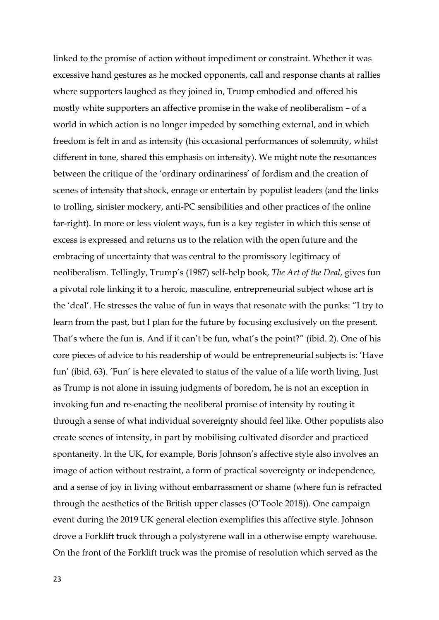linked to the promise of action without impediment or constraint. Whether it was excessive hand gestures as he mocked opponents, call and response chants at rallies where supporters laughed as they joined in, Trump embodied and offered his mostly white supporters an affective promise in the wake of neoliberalism – of a world in which action is no longer impeded by something external, and in which freedom is felt in and as intensity (his occasional performances of solemnity, whilst different in tone, shared this emphasis on intensity). We might note the resonances between the critique of the 'ordinary ordinariness' of fordism and the creation of scenes of intensity that shock, enrage or entertain by populist leaders (and the links to trolling, sinister mockery, anti-PC sensibilities and other practices of the online far-right). In more or less violent ways, fun is a key register in which this sense of excess is expressed and returns us to the relation with the open future and the embracing of uncertainty that was central to the promissory legitimacy of neoliberalism. Tellingly, Trump's (1987) self-help book, *The Art of the Deal*, gives fun a pivotal role linking it to a heroic, masculine, entrepreneurial subject whose art is the 'deal'. He stresses the value of fun in ways that resonate with the punks: "I try to learn from the past, but I plan for the future by focusing exclusively on the present. That's where the fun is. And if it can't be fun, what's the point?" (ibid. 2). One of his core pieces of advice to his readership of would be entrepreneurial subjects is: 'Have fun' (ibid. 63). 'Fun' is here elevated to status of the value of a life worth living. Just as Trump is not alone in issuing judgments of boredom, he is not an exception in invoking fun and re-enacting the neoliberal promise of intensity by routing it through a sense of what individual sovereignty should feel like. Other populists also create scenes of intensity, in part by mobilising cultivated disorder and practiced spontaneity. In the UK, for example, Boris Johnson's affective style also involves an image of action without restraint, a form of practical sovereignty or independence, and a sense of joy in living without embarrassment or shame (where fun is refracted through the aesthetics of the British upper classes (O'Toole 2018)). One campaign event during the 2019 UK general election exemplifies this affective style. Johnson drove a Forklift truck through a polystyrene wall in a otherwise empty warehouse. On the front of the Forklift truck was the promise of resolution which served as the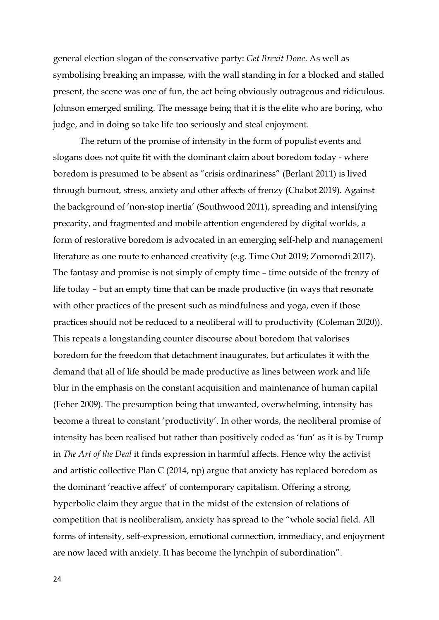general election slogan of the conservative party: *Get Brexit Done*. As well as symbolising breaking an impasse, with the wall standing in for a blocked and stalled present, the scene was one of fun, the act being obviously outrageous and ridiculous. Johnson emerged smiling. The message being that it is the elite who are boring, who judge, and in doing so take life too seriously and steal enjoyment.

The return of the promise of intensity in the form of populist events and slogans does not quite fit with the dominant claim about boredom today - where boredom is presumed to be absent as "crisis ordinariness" (Berlant 2011) is lived through burnout, stress, anxiety and other affects of frenzy (Chabot 2019). Against the background of 'non-stop inertia' (Southwood 2011), spreading and intensifying precarity, and fragmented and mobile attention engendered by digital worlds, a form of restorative boredom is advocated in an emerging self-help and management literature as one route to enhanced creativity (e.g. Time Out 2019; Zomorodi 2017). The fantasy and promise is not simply of empty time – time outside of the frenzy of life today – but an empty time that can be made productive (in ways that resonate with other practices of the present such as mindfulness and yoga, even if those practices should not be reduced to a neoliberal will to productivity (Coleman 2020)). This repeats a longstanding counter discourse about boredom that valorises boredom for the freedom that detachment inaugurates, but articulates it with the demand that all of life should be made productive as lines between work and life blur in the emphasis on the constant acquisition and maintenance of human capital (Feher 2009). The presumption being that unwanted, overwhelming, intensity has become a threat to constant 'productivity'. In other words, the neoliberal promise of intensity has been realised but rather than positively coded as 'fun' as it is by Trump in *The Art of the Deal* it finds expression in harmful affects. Hence why the activist and artistic collective Plan C (2014, np) argue that anxiety has replaced boredom as the dominant 'reactive affect' of contemporary capitalism. Offering a strong, hyperbolic claim they argue that in the midst of the extension of relations of competition that is neoliberalism, anxiety has spread to the "whole social field. All forms of intensity, self-expression, emotional connection, immediacy, and enjoyment are now laced with anxiety. It has become the lynchpin of subordination".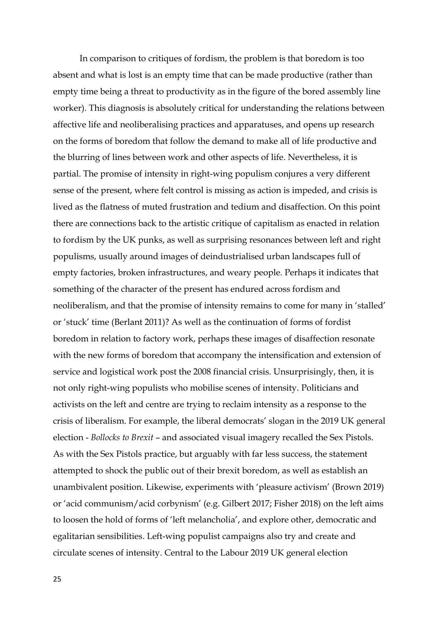In comparison to critiques of fordism, the problem is that boredom is too absent and what is lost is an empty time that can be made productive (rather than empty time being a threat to productivity as in the figure of the bored assembly line worker). This diagnosis is absolutely critical for understanding the relations between affective life and neoliberalising practices and apparatuses, and opens up research on the forms of boredom that follow the demand to make all of life productive and the blurring of lines between work and other aspects of life. Nevertheless, it is partial. The promise of intensity in right-wing populism conjures a very different sense of the present, where felt control is missing as action is impeded, and crisis is lived as the flatness of muted frustration and tedium and disaffection. On this point there are connections back to the artistic critique of capitalism as enacted in relation to fordism by the UK punks, as well as surprising resonances between left and right populisms, usually around images of deindustrialised urban landscapes full of empty factories, broken infrastructures, and weary people. Perhaps it indicates that something of the character of the present has endured across fordism and neoliberalism, and that the promise of intensity remains to come for many in 'stalled' or 'stuck' time (Berlant 2011)? As well as the continuation of forms of fordist boredom in relation to factory work, perhaps these images of disaffection resonate with the new forms of boredom that accompany the intensification and extension of service and logistical work post the 2008 financial crisis. Unsurprisingly, then, it is not only right-wing populists who mobilise scenes of intensity. Politicians and activists on the left and centre are trying to reclaim intensity as a response to the crisis of liberalism. For example, the liberal democrats' slogan in the 2019 UK general election - *Bollocks to Brexit* – and associated visual imagery recalled the Sex Pistols. As with the Sex Pistols practice, but arguably with far less success, the statement attempted to shock the public out of their brexit boredom, as well as establish an unambivalent position. Likewise, experiments with 'pleasure activism' (Brown 2019) or 'acid communism/acid corbynism' (e.g. Gilbert 2017; Fisher 2018) on the left aims to loosen the hold of forms of 'left melancholia', and explore other, democratic and egalitarian sensibilities. Left-wing populist campaigns also try and create and circulate scenes of intensity. Central to the Labour 2019 UK general election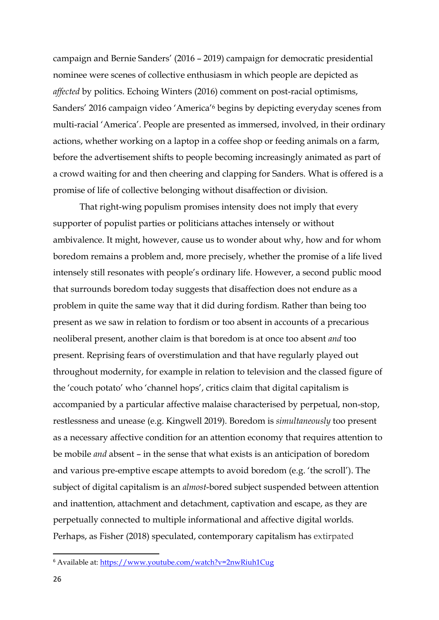campaign and Bernie Sanders' (2016 – 2019) campaign for democratic presidential nominee were scenes of collective enthusiasm in which people are depicted as *affected* by politics. Echoing Winters (2016) comment on post-racial optimisms, Sanders' 2016 campaign video 'America'<sup>6</sup> begins by depicting everyday scenes from multi-racial 'America'. People are presented as immersed, involved, in their ordinary actions, whether working on a laptop in a coffee shop or feeding animals on a farm, before the advertisement shifts to people becoming increasingly animated as part of a crowd waiting for and then cheering and clapping for Sanders. What is offered is a promise of life of collective belonging without disaffection or division.

That right-wing populism promises intensity does not imply that every supporter of populist parties or politicians attaches intensely or without ambivalence. It might, however, cause us to wonder about why, how and for whom boredom remains a problem and, more precisely, whether the promise of a life lived intensely still resonates with people's ordinary life. However, a second public mood that surrounds boredom today suggests that disaffection does not endure as a problem in quite the same way that it did during fordism. Rather than being too present as we saw in relation to fordism or too absent in accounts of a precarious neoliberal present, another claim is that boredom is at once too absent *and* too present. Reprising fears of overstimulation and that have regularly played out throughout modernity, for example in relation to television and the classed figure of the 'couch potato' who 'channel hops', critics claim that digital capitalism is accompanied by a particular affective malaise characterised by perpetual, non-stop, restlessness and unease (e.g. Kingwell 2019). Boredom is *simultaneously* too present as a necessary affective condition for an attention economy that requires attention to be mobile *and* absent – in the sense that what exists is an anticipation of boredom and various pre-emptive escape attempts to avoid boredom (e.g. 'the scroll'). The subject of digital capitalism is an *almost*-bored subject suspended between attention and inattention, attachment and detachment, captivation and escape, as they are perpetually connected to multiple informational and affective digital worlds. Perhaps, as Fisher (2018) speculated, contemporary capitalism has extirpated

1

<sup>6</sup> Available at:<https://www.youtube.com/watch?v=2nwRiuh1Cug>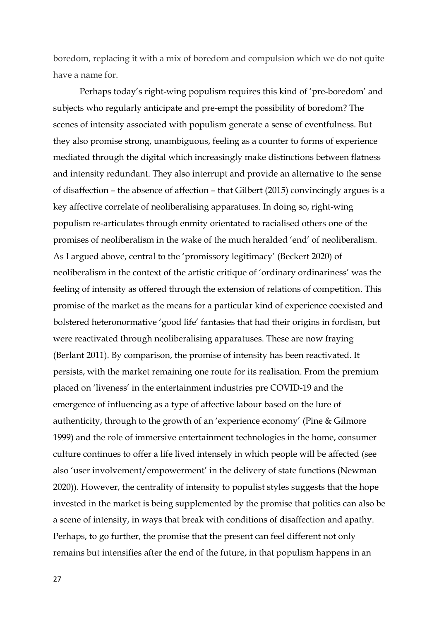boredom, replacing it with a mix of boredom and compulsion which we do not quite have a name for.

Perhaps today's right-wing populism requires this kind of 'pre-boredom' and subjects who regularly anticipate and pre-empt the possibility of boredom? The scenes of intensity associated with populism generate a sense of eventfulness. But they also promise strong, unambiguous, feeling as a counter to forms of experience mediated through the digital which increasingly make distinctions between flatness and intensity redundant. They also interrupt and provide an alternative to the sense of disaffection – the absence of affection – that Gilbert (2015) convincingly argues is a key affective correlate of neoliberalising apparatuses. In doing so, right-wing populism re-articulates through enmity orientated to racialised others one of the promises of neoliberalism in the wake of the much heralded 'end' of neoliberalism. As I argued above, central to the 'promissory legitimacy' (Beckert 2020) of neoliberalism in the context of the artistic critique of 'ordinary ordinariness' was the feeling of intensity as offered through the extension of relations of competition. This promise of the market as the means for a particular kind of experience coexisted and bolstered heteronormative 'good life' fantasies that had their origins in fordism, but were reactivated through neoliberalising apparatuses. These are now fraying (Berlant 2011). By comparison, the promise of intensity has been reactivated. It persists, with the market remaining one route for its realisation. From the premium placed on 'liveness' in the entertainment industries pre COVID-19 and the emergence of influencing as a type of affective labour based on the lure of authenticity, through to the growth of an 'experience economy' (Pine & Gilmore 1999) and the role of immersive entertainment technologies in the home, consumer culture continues to offer a life lived intensely in which people will be affected (see also 'user involvement/empowerment' in the delivery of state functions (Newman 2020)). However, the centrality of intensity to populist styles suggests that the hope invested in the market is being supplemented by the promise that politics can also be a scene of intensity, in ways that break with conditions of disaffection and apathy. Perhaps, to go further, the promise that the present can feel different not only remains but intensifies after the end of the future, in that populism happens in an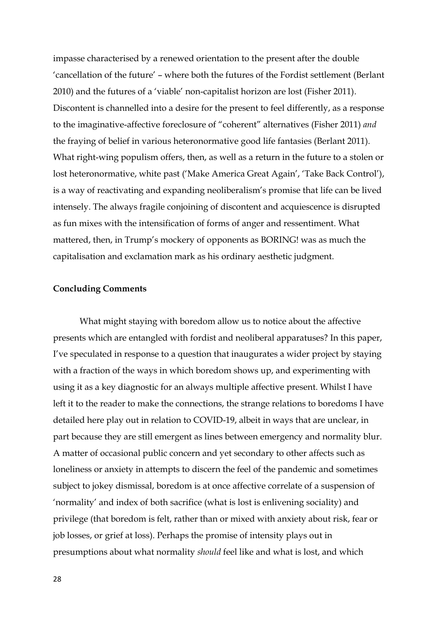impasse characterised by a renewed orientation to the present after the double 'cancellation of the future' – where both the futures of the Fordist settlement (Berlant 2010) and the futures of a 'viable' non-capitalist horizon are lost (Fisher 2011). Discontent is channelled into a desire for the present to feel differently, as a response to the imaginative-affective foreclosure of "coherent" alternatives (Fisher 2011) *and*  the fraying of belief in various heteronormative good life fantasies (Berlant 2011). What right-wing populism offers, then, as well as a return in the future to a stolen or lost heteronormative, white past ('Make America Great Again', 'Take Back Control'), is a way of reactivating and expanding neoliberalism's promise that life can be lived intensely. The always fragile conjoining of discontent and acquiescence is disrupted as fun mixes with the intensification of forms of anger and ressentiment. What mattered, then, in Trump's mockery of opponents as BORING! was as much the capitalisation and exclamation mark as his ordinary aesthetic judgment.

### **Concluding Comments**

What might staying with boredom allow us to notice about the affective presents which are entangled with fordist and neoliberal apparatuses? In this paper, I've speculated in response to a question that inaugurates a wider project by staying with a fraction of the ways in which boredom shows up, and experimenting with using it as a key diagnostic for an always multiple affective present. Whilst I have left it to the reader to make the connections, the strange relations to boredoms I have detailed here play out in relation to COVID-19, albeit in ways that are unclear, in part because they are still emergent as lines between emergency and normality blur. A matter of occasional public concern and yet secondary to other affects such as loneliness or anxiety in attempts to discern the feel of the pandemic and sometimes subject to jokey dismissal, boredom is at once affective correlate of a suspension of 'normality' and index of both sacrifice (what is lost is enlivening sociality) and privilege (that boredom is felt, rather than or mixed with anxiety about risk, fear or job losses, or grief at loss). Perhaps the promise of intensity plays out in presumptions about what normality *should* feel like and what is lost, and which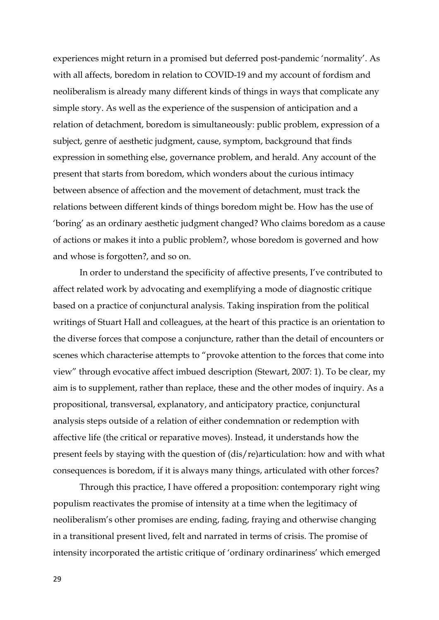experiences might return in a promised but deferred post-pandemic 'normality'. As with all affects, boredom in relation to COVID-19 and my account of fordism and neoliberalism is already many different kinds of things in ways that complicate any simple story. As well as the experience of the suspension of anticipation and a relation of detachment, boredom is simultaneously: public problem, expression of a subject, genre of aesthetic judgment, cause, symptom, background that finds expression in something else, governance problem, and herald. Any account of the present that starts from boredom, which wonders about the curious intimacy between absence of affection and the movement of detachment, must track the relations between different kinds of things boredom might be. How has the use of 'boring' as an ordinary aesthetic judgment changed? Who claims boredom as a cause of actions or makes it into a public problem?, whose boredom is governed and how and whose is forgotten?, and so on.

In order to understand the specificity of affective presents, I've contributed to affect related work by advocating and exemplifying a mode of diagnostic critique based on a practice of conjunctural analysis. Taking inspiration from the political writings of Stuart Hall and colleagues, at the heart of this practice is an orientation to the diverse forces that compose a conjuncture, rather than the detail of encounters or scenes which characterise attempts to "provoke attention to the forces that come into view" through evocative affect imbued description (Stewart, 2007: 1). To be clear, my aim is to supplement, rather than replace, these and the other modes of inquiry. As a propositional, transversal, explanatory, and anticipatory practice, conjunctural analysis steps outside of a relation of either condemnation or redemption with affective life (the critical or reparative moves). Instead, it understands how the present feels by staying with the question of (dis/re)articulation: how and with what consequences is boredom, if it is always many things, articulated with other forces?

Through this practice, I have offered a proposition: contemporary right wing populism reactivates the promise of intensity at a time when the legitimacy of neoliberalism's other promises are ending, fading, fraying and otherwise changing in a transitional present lived, felt and narrated in terms of crisis. The promise of intensity incorporated the artistic critique of 'ordinary ordinariness' which emerged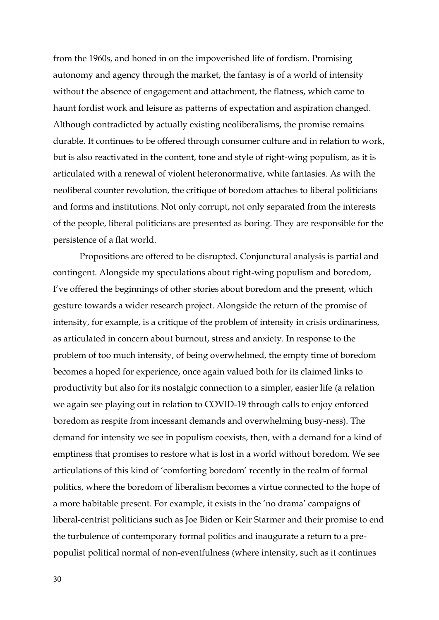from the 1960s, and honed in on the impoverished life of fordism. Promising autonomy and agency through the market, the fantasy is of a world of intensity without the absence of engagement and attachment, the flatness, which came to haunt fordist work and leisure as patterns of expectation and aspiration changed. Although contradicted by actually existing neoliberalisms, the promise remains durable. It continues to be offered through consumer culture and in relation to work, but is also reactivated in the content, tone and style of right-wing populism, as it is articulated with a renewal of violent heteronormative, white fantasies. As with the neoliberal counter revolution, the critique of boredom attaches to liberal politicians and forms and institutions. Not only corrupt, not only separated from the interests of the people, liberal politicians are presented as boring. They are responsible for the persistence of a flat world.

Propositions are offered to be disrupted. Conjunctural analysis is partial and contingent. Alongside my speculations about right-wing populism and boredom, I've offered the beginnings of other stories about boredom and the present, which gesture towards a wider research project. Alongside the return of the promise of intensity, for example, is a critique of the problem of intensity in crisis ordinariness, as articulated in concern about burnout, stress and anxiety. In response to the problem of too much intensity, of being overwhelmed, the empty time of boredom becomes a hoped for experience, once again valued both for its claimed links to productivity but also for its nostalgic connection to a simpler, easier life (a relation we again see playing out in relation to COVID-19 through calls to enjoy enforced boredom as respite from incessant demands and overwhelming busy-ness). The demand for intensity we see in populism coexists, then, with a demand for a kind of emptiness that promises to restore what is lost in a world without boredom. We see articulations of this kind of 'comforting boredom' recently in the realm of formal politics, where the boredom of liberalism becomes a virtue connected to the hope of a more habitable present. For example, it exists in the 'no drama' campaigns of liberal-centrist politicians such as Joe Biden or Keir Starmer and their promise to end the turbulence of contemporary formal politics and inaugurate a return to a prepopulist political normal of non-eventfulness (where intensity, such as it continues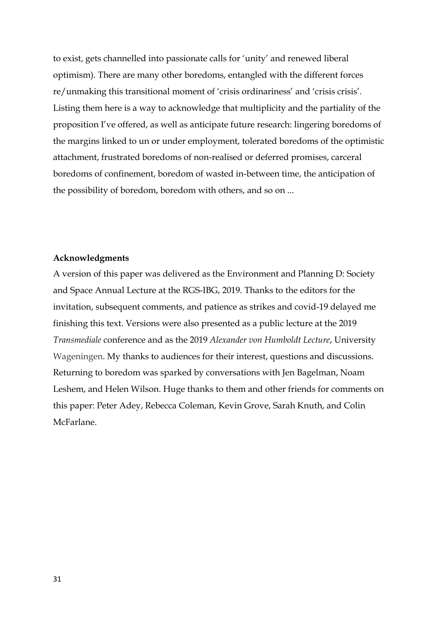to exist, gets channelled into passionate calls for 'unity' and renewed liberal optimism). There are many other boredoms, entangled with the different forces re/unmaking this transitional moment of 'crisis ordinariness' and 'crisis crisis'. Listing them here is a way to acknowledge that multiplicity and the partiality of the proposition I've offered, as well as anticipate future research: lingering boredoms of the margins linked to un or under employment, tolerated boredoms of the optimistic attachment, frustrated boredoms of non-realised or deferred promises, carceral boredoms of confinement, boredom of wasted in-between time, the anticipation of the possibility of boredom, boredom with others, and so on ...

### **Acknowledgments**

A version of this paper was delivered as the Environment and Planning D: Society and Space Annual Lecture at the RGS-IBG, 2019. Thanks to the editors for the invitation, subsequent comments, and patience as strikes and covid-19 delayed me finishing this text. Versions were also presented as a public lecture at the 2019 *Transmediale* conference and as the 2019 *Alexander von Humboldt Lecture*, University Wageningen. My thanks to audiences for their interest, questions and discussions. Returning to boredom was sparked by conversations with Jen Bagelman, Noam Leshem, and Helen Wilson. Huge thanks to them and other friends for comments on this paper: Peter Adey, Rebecca Coleman, Kevin Grove, Sarah Knuth, and Colin McFarlane.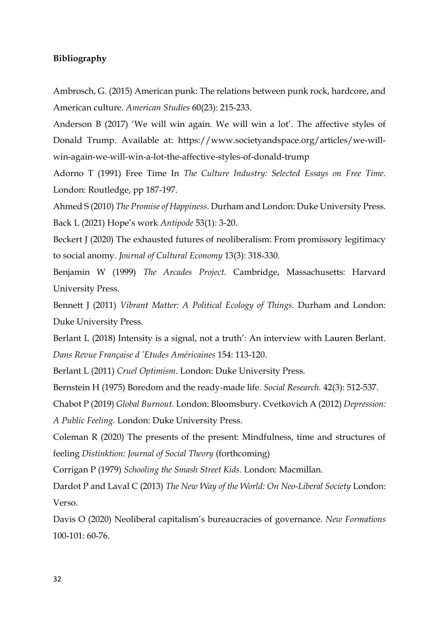### **Bibliography**

Ambrosch, G. (2015) American punk: The relations between punk rock, hardcore, and American culture. *American Studies* 60(23): 215-233.

Anderson B (2017) 'We will win again. We will win a lot'. The affective styles of Donald Trump. Available at: https://www.societyandspace.org/articles/we-willwin-again-we-will-win-a-lot-the-affective-styles-of-donald-trump

Adorno T (1991) Free Time In *The Culture Industry: Selected Essays on Free Time.* London: Routledge, pp 187-197.

Ahmed S (2010) *The Promise of Happiness.* Durham and London: Duke University Press. Back L (2021) Hope's work *Antipode* 53(1): 3-20.

Beckert J (2020) The exhausted futures of neoliberalism: From promissory legitimacy to social anomy. *Journal of Cultural Economy* 13(3): 318-330.

Benjamin W (1999) *The Arcades Project.* Cambridge, Massachusetts: Harvard University Press.

Bennett J (2011) *Vibrant Matter: A Political Ecology of Things.* Durham and London: Duke University Press.

Berlant L (2018) Intensity is a signal, not a truth': An interview with Lauren Berlant. *Dans Revue Française d 'Etudes Américaines* 154: 113-120.

Berlant L (2011) *Cruel Optimism*. London: Duke University Press.

Bernstein H (1975) Boredom and the ready-made life. *Social Research.* 42(3): 512-537.

Chabot P (2019) *Global Burnout.* London: Bloomsbury. Cvetkovich A (2012) *Depression: A Public Feeling.* London: Duke University Press.

Coleman R (2020) [The presents of the present: Mindfulness, time and structures of](http://research.gold.ac.uk/29173/)  [feeling](http://research.gold.ac.uk/29173/) *Distinktion: Journal of Social Theory* (forthcoming)

Corrigan P (1979) *Schooling the Smash Street Kids.* London: Macmillan.

Dardot P and Laval C (2013) *The New Way of the World: On Neo-Liberal Society* London: Verso.

Davis O (2020) Neoliberal capitalism's bureaucracies of governance. *New Formations*  100-101: 60-76.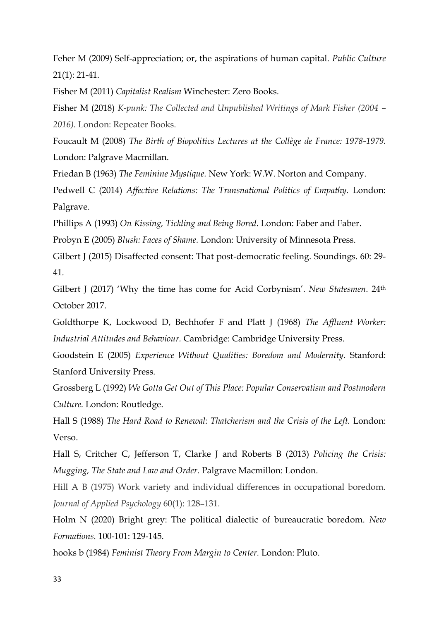Feher M (2009) Self-appreciation; or, the aspirations of human capital. *Public Culture*  21(1): 21-41.

Fisher M (2011) *Capitalist Realism* Winchester: Zero Books.

Fisher M (2018) *[K-punk: The Collected and Unpublished Writings of Mark Fisher \(2004](https://repeaterbooks.com/product/k-punk-the-collected-and-unpublished-writings-of-mark-fisher-2004-2016/) – [2016\).](https://repeaterbooks.com/product/k-punk-the-collected-and-unpublished-writings-of-mark-fisher-2004-2016/)* London: Repeater Books.

Foucault M (2008) *The Birth of Biopolitics Lectures at the Collège de France: 1978-1979.* London: Palgrave Macmillan.

Friedan B (1963) *The Feminine Mystique.* New York: W.W. Norton and Company.

Pedwell C (2014) *Affective Relations: The Transnational Politics of Empathy.* London: Palgrave.

Phillips A (1993) *On Kissing, Tickling and Being Bored*. London: Faber and Faber.

Probyn E (2005) *Blush: Faces of Shame.* London: University of Minnesota Press.

Gilbert J (2015) Disaffected consent: That post-democratic feeling. Soundings. 60: 29- 41.

Gilbert J (2017) 'Why the time has come for Acid Corbynism'. *New Statesmen*. 24th October 2017.

Goldthorpe K, Lockwood D, Bechhofer F and Platt J (1968) *The Affluent Worker: Industrial Attitudes and Behaviour.* Cambridge: Cambridge University Press.

Goodstein E (2005) *Experience Without Qualities: Boredom and Modernity.* Stanford: Stanford University Press.

Grossberg L (1992) *We Gotta Get Out of This Place: Popular Conservatism and Postmodern Culture.* London: Routledge.

Hall S (1988) *The Hard Road to Renewal: Thatcherism and the Crisis of the Left.* London: Verso.

Hall S, Critcher C, Jefferson T, Clarke J and Roberts B (2013) *Policing the Crisis: Mugging, The State and Law and Order.* Palgrave Macmillon: London.

Hill A B (1975) Work variety and individual differences in occupational boredom. *Journal of Applied Psychology* 60(1): 128–131.

Holm N (2020) Bright grey: The political dialectic of bureaucratic boredom. *New Formations.* 100-101: 129-145.

hooks b (1984) *Feminist Theory From Margin to Center.* London: Pluto.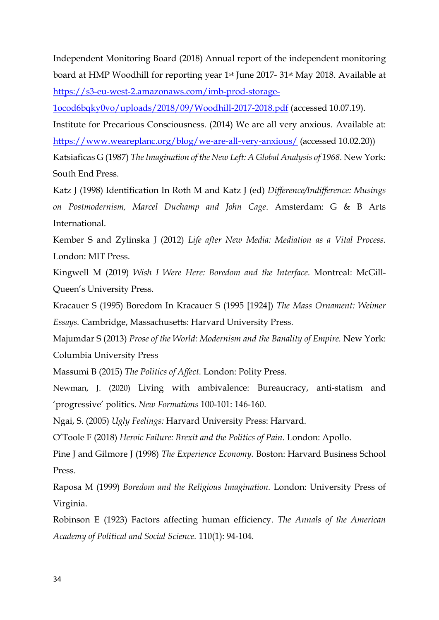Independent Monitoring Board (2018) Annual report of the independent monitoring board at HMP Woodhill for reporting year 1st June 2017- 31st May 2018. Available at [https://s3-eu-west-2.amazonaws.com/imb-prod-storage-](https://s3-eu-west-2.amazonaws.com/imb-prod-storage-1ocod6bqky0vo/uploads/2018/09/Woodhill-2017-2018.pdf)

[1ocod6bqky0vo/uploads/2018/09/Woodhill-2017-2018.pdf](https://s3-eu-west-2.amazonaws.com/imb-prod-storage-1ocod6bqky0vo/uploads/2018/09/Woodhill-2017-2018.pdf) (accessed 10.07.19).

Institute for Precarious Consciousness. (2014) We are all very anxious. Available at: <https://www.weareplanc.org/blog/we-are-all-very-anxious/> (accessed 10.02.20))

Katsiaficas G (1987) *The Imagination of the New Left: A Global Analysis of 1968.* New York: South End Press.

Katz J (1998) Identification In Roth M and Katz J (ed) *Difference/Indifference: Musings on Postmodernism, Marcel Duchamp and John Cage*. Amsterdam: G & B Arts International.

Kember S and Zylinska J (2012) *Life after New Media: Mediation as a Vital Process.*  London: MIT Press.

Kingwell M (2019) *Wish I Were Here: Boredom and the Interface*. Montreal: McGill-Queen's University Press.

Kracauer S (1995) Boredom In Kracauer S (1995 [1924]) *The Mass Ornament: Weimer Essays.* Cambridge, Massachusetts: Harvard University Press.

Majumdar S (2013) *Prose of the World: Modernism and the Banality of Empire.* New York: Columbia University Press

Massumi B (2015) *The Politics of Affect.* London: Polity Press.

Newman, J. (2020) Living with ambivalence: Bureaucracy, anti-statism and 'progressive' politics. *New Formations* 100-101: 146-160.

Ngai, S. (2005) *Ugly Feelings:* Harvard University Press: Harvard.

O'Toole F (2018) *Heroic Failure: Brexit and the Politics of Pain.* London: Apollo.

Pine J and Gilmore J (1998) *The Experience Economy.* Boston: Harvard Business School Press.

Raposa M (1999) *Boredom and the Religious Imagination.* London: University Press of Virginia.

Robinson E (1923) Factors affecting human efficiency. *The Annals of the American Academy of Political and Social Science.* 110(1): 94-104.